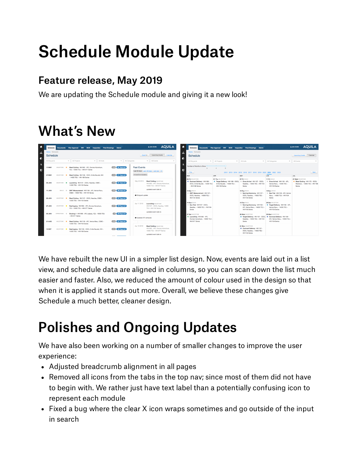## Schedule Module Update

## Feature release, May 2019

We are updating the Schedule module and giving it a new look!

## What's New

|               |                             |                | Schedule Documents Plan Approval FAT NCR Inspection Final Drawings Admin        |                         |                                                                                | <b>AQUILA</b><br>A John Smith                                                                                           | $\bullet$                                                                       | Schedule Documents Plan Approval FAT NCR Inspection Final Drawings Admin             |                                                                                                                  |                                                                                            | <b>AQUILA</b><br>A John Smith                                                  |
|---------------|-----------------------------|----------------|---------------------------------------------------------------------------------|-------------------------|--------------------------------------------------------------------------------|-------------------------------------------------------------------------------------------------------------------------|---------------------------------------------------------------------------------|--------------------------------------------------------------------------------------|------------------------------------------------------------------------------------------------------------------|--------------------------------------------------------------------------------------------|--------------------------------------------------------------------------------|
| Á<br><b>G</b> | Home / Schedule<br>Schedule |                |                                                                                 |                         | Home / Schedule<br>i de<br>Upcoming Events Calendar<br>Export<br>Schedule<br>R |                                                                                                                         |                                                                                 |                                                                                      |                                                                                                                  | Calendar<br>Upcoming Events                                                                |                                                                                |
|               | All Shipyards               |                | $\mathbf{v}$ Al Huls<br>- All Projects                                          | - All Categories        |                                                                                | - Al Events                                                                                                             | All Shipyards                                                                   | - All Projects                                                                       | $\tau$ Al Hulls                                                                                                  | - All Categories                                                                           | ▼ All Events                                                                   |
| D             | <b>17 MAY</b>               | MUSTONE O      | Steel Cutting HN1092 - APL Owners Adventure.<br>YZJ - 10000 TEU - HN1077 Series | 29 361 Days Left        | <b>Past Events</b>                                                             | Last 60 days Last 120 days Last year All                                                                                | Number of Months to Show<br>D<br>Prev                                           | $\Delta$<br>2012 2013 2014 2015 2016 2017 2018 2019 2020 2021 2022 2023              |                                                                                                                  |                                                                                            |                                                                                |
|               | <b>27 MAY</b>               | MILESTONE O    | Steel Cutting HN1168 - OOCL Emile Baudet, HHI                                   | 22 371 Days Left        | Include Event Updates                                                          |                                                                                                                         | <b>MAR</b>                                                                      | APR                                                                                  | MAY                                                                                                              | JUN                                                                                        | Next<br>JUL.                                                                   |
|               |                             |                | - 14000 TEU - HN1168 Series                                                     |                         |                                                                                |                                                                                                                         | <b>OS Fri MILESTONE</b>                                                         | <b>01 Thu MILESTONE</b>                                                              | <b>07 Fri BUILD</b>                                                                                              | 11 Fri BULD                                                                                | 21 Wed MILESTONE                                                               |
|               | 06 JUN                      | MILESTONE O    | Launching HN1107 - OOCL Needles, CSBC -<br>14000 TEU - HN1104 Series            | 26 381 Days Left        | May 22 2019                                                                    | <b>Steel Cutting MILESTONE</b><br>HN1092 - APL Owners Adventure.<br>10000 TELL- HN1077 Series                           | Contract Delivery HN1168<br>OOCL Emile Baudet. - 14000 TEU<br>- HN1168 Series   | Target Delivery HN1168 - COCL<br>Emile Baudet. - 14000 TEU -<br><b>HN1168 Series</b> | Crew Arrival HN1107 - OOCL<br>Needles. - 14000 TEU - HN1104<br>Series                                            | Crew Arrival HN1108 - APL<br>Verice Maru. - 14000 TEU -<br><b>HN1104 Series</b>            | Steel Cutting HN1170 - COCL<br>Matienzo. - 14000 TEU - HN1168<br><b>Series</b> |
|               | 11 JUN                      | <b>BUILD @</b> | DWT Measurement HN1108 - APL Verice Maru.<br>CSBC - 14000 TEU - HN1104 Series   | <b>74</b> 386 Days Left | Shipyard update                                                                | updated event date to<br>13 Sat BULD                                                                                    | DWT Measurement HN1107<br>OOCL Needles - 14000 TEU                              |                                                                                      | <b>18 Tue BUILD</b><br>Raming Ceremony HN1107<br>OOCL Needles - 14000 TELL                                       | 13 Sun BJLD<br>Sea Trial HN1108 - APL Venice<br>Manu - 14000 TEU - HN1104<br><b>Series</b> |                                                                                |
|               | <b>22 JUN</b>               | MLESTONE O     | Steel Cutting HN1107 - OOCL Needles, CSBC -<br>14000 TEU - HN1104 Series        | /1 397 Days Left        |                                                                                |                                                                                                                         | <b>HN1104 Series</b>                                                            |                                                                                      | HN1104 Series                                                                                                    |                                                                                            |                                                                                |
|               | <b>27 JUN</b>               | MEESTONE .     | Keel Laving HN1092 - APL Owners Adventure.<br>VZ.L. 10000 TELL, HN1077 Series   | 402 Davis Left          | Apr 11 2019                                                                    | Launching MLESTONE<br>HN1107 - OOCL Needles, 14000<br>TELL-HN1104 Series<br>updated event date to                       | 14 Sun BULD<br>Sea Trial HN1107 - OOCL<br>Needles, - 14000 TEU - HN1104         |                                                                                      | 18 Tue BUILD<br>Raming Ceremony HN1108 -<br>APL Venice Manu - 14000 TELL                                         | 26 Sat MLESTONE<br><b>C</b> Target Delivery HN1108 - APL<br>Verice Maru. - 14000 TEU -     |                                                                                |
|               |                             |                |                                                                                 |                         |                                                                                |                                                                                                                         | Series                                                                          |                                                                                      | HN1104 Series                                                                                                    | HN1104 Series                                                                              |                                                                                |
|               | 30 JUN                      | OPERATIONS @   | Docking 1 HN1090 - APL Isabela, YZJ - 10000 TEU<br>- HN1077 Series              | 405 Days Left           | Undated SY schedule                                                            |                                                                                                                         | 27 Sat MILESTONE<br>C Launching HN1092 - APL<br>Owners Adventure. - 10000 TEU - |                                                                                      | 26 Wed MLESTONE<br>● Target Delivery HN1107 - OOCL ● Contract Delivery HN1108 -<br>Needles. - 14000 TEU - HN1104 | <b>30 Wed MILESTONE</b><br>APL Venice Maru. - 14000 TEU -                                  |                                                                                |
|               | 21 AUG                      | MILESTONE O    | Steel Cutting HN1108 - APL Venice Maru, CSBC -<br>14000 TEU - HN1104 Series     | 24 457 Days Left        |                                                                                |                                                                                                                         | HN1077 Series                                                                   |                                                                                      | Series                                                                                                           | <b>HN1104 Series</b>                                                                       |                                                                                |
|               | <b>15 SEP</b>               | MILESTONE .    | Keel Laving HN1168 - COCL Emile Baudet, HHI -<br>14000 TEU - HN1168 Series      | 21 482 Days Left        | Apr 10 2019                                                                    | <b>Steel Cutting MILESTONE</b><br>HN1092 - APL Owners Adventure.<br>10000 TELI - HN1077 Series<br>updated event date to |                                                                                 |                                                                                      | 31 Mon MILESTONE<br>Contract Delivery HN1107<br>OOCL Needles, - 14000 TEU-<br>HN1104 Series                      |                                                                                            |                                                                                |

We have rebuilt the new UI in a simpler list design. Now, events are laid out in a list view, and schedule data are aligned in columns, so you can scan down the list much easier and faster. Also, we reduced the amount of colour used in the design so that when it is applied it stands out more. Overall, we believe these changes give Schedule a much better, cleaner design.

## Polishes and Ongoing Updates

We have also been working on a number of smaller changes to improve the user experience:

- Adjusted breadcrumb alignment in all pages
- Removed all icons from the tabs in the top nav; since most of them did not have to begin with. We rather just have text label than a potentially confusing icon to represent each module
- Fixed a bug where the clear X icon wraps sometimes and go outside of the input in search